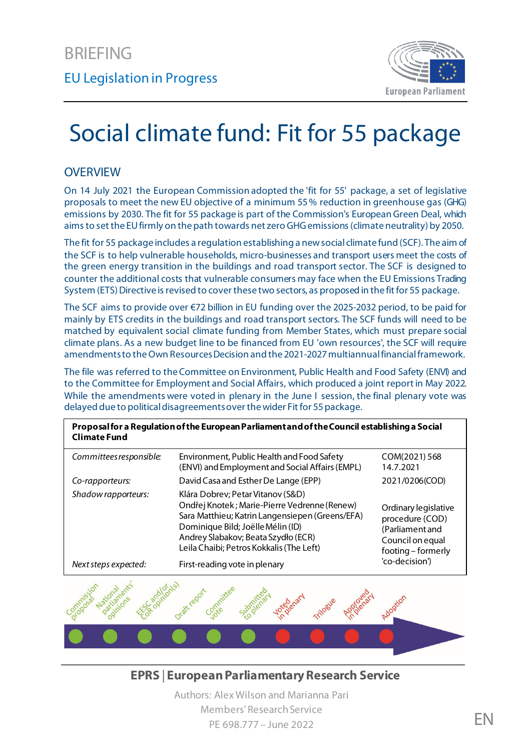

# Social climate fund: Fit for 55 package

#### **OVERVIEW**

On 14 July 2021 the European Commission adopted the 'fit for 55' package, a set of legislative proposals to meet the new EU objective of a minimum 55% reduction in greenhouse gas (GHG) emissions by 2030. The fit for 55 package is part of the Commission's European Green Deal, which aims to set the EU firmly on the path towards net zero GHG emissions (climate neutrality) by 2050.

The fit for 55 package includes a regulation establishing a new social climate fund (SCF). The aim of the SCF is to help vulnerable households, micro-businesses and transport users meet the costs of the green energy transition in the buildings and road transport sector. The SCF is designed to counter the additional costs that vulnerable consumers may face when the EU Emissions Trading System (ETS) Directive is revised to cover these two sectors, as proposed in the fit for 55 package.

The SCF aims to provide over €72 billion in EU funding over the 2025-2032 period, to be paid for mainly by ETS credits in the buildings and road transport sectors. The SCF funds will need to be matched by equivalent social climate funding from Member States, which must prepare social climate plans. As a new budget line to be financed from EU 'own resources', the SCF will require amendments to theOwn Resources Decision and the 2021-2027 multiannual financial framework.

The file was referred to theCommittee on Environment, Public Health and Food Safety (ENVI) and to the Committee for Employment and Social Affairs, which produced a joint report in May 2022. While the amendments were voted in plenary in the June I session, the final plenary vote was delayed due to political disagreements over the wider Fit for 55 package.

| Proposal for a Regulation of the European Parliament and of the Council establishing a Social<br><b>Climate Fund</b> |                                                                                                                                                                                                                                                              |                                                                                                      |
|----------------------------------------------------------------------------------------------------------------------|--------------------------------------------------------------------------------------------------------------------------------------------------------------------------------------------------------------------------------------------------------------|------------------------------------------------------------------------------------------------------|
| Committees responsible:                                                                                              | Environment, Public Health and Food Safety<br>(ENVI) and Employment and Social Affairs (EMPL)                                                                                                                                                                | COM(2021) 568<br>14.7.2021                                                                           |
| Co-rapporteurs:                                                                                                      | David Casa and Esther De Lange (EPP)                                                                                                                                                                                                                         | 2021/0206(COD)                                                                                       |
| Shadow rapporteurs:                                                                                                  | Klára Dobrev; Petar Vitanov (S&D)<br>Ondřej Knotek; Marie-Pierre Vedrenne (Renew)<br>Sara Matthieu; Katrin Langensiepen (Greens/EFA)<br>Dominique Bild; Joëlle Mélin (ID)<br>Andrey Slabakov; Beata Szydło (ECR)<br>Leila Chaibi; Petros Kokkalis (The Left) | Ordinary legislative<br>procedure (COD)<br>(Parliament and<br>Council on equal<br>footing - formerly |
| Next steps expected:                                                                                                 | First-reading vote in plenary                                                                                                                                                                                                                                | 'co-decision')                                                                                       |



**EPRS** | **European Parliamentary Research Service**

Authors: Alex Wilson and Marianna Pari Members' Research Service PE 698.777 – June 2022 **EN**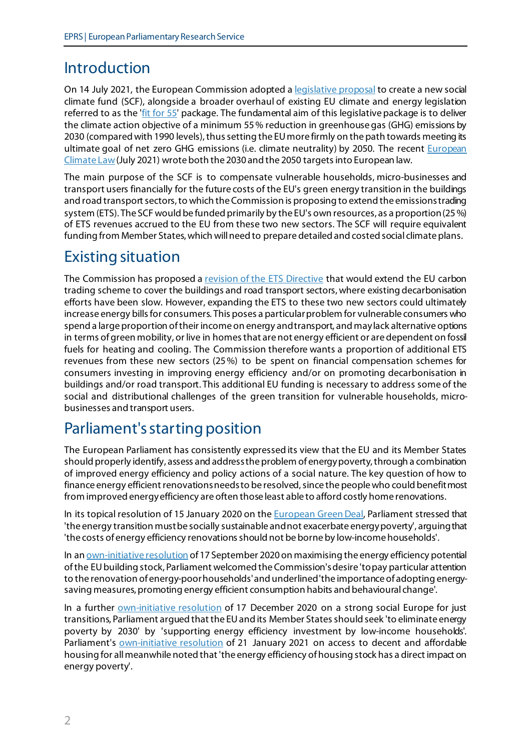# Introduction

On 14 July 2021, the European Commission adopted a **legislative proposal** to create a new social climate fund (SCF), alongside a broader overhaul of existing EU climate and energy legislation referred to as the ['fit for 55'](https://ec.europa.eu/commission/presscorner/detail/en/ip_21_3541) package. The fundamental aim of this legislative package is to deliver the climate action objective of a minimum 55% reduction in greenhouse gas (GHG) emissions by 2030 (compared with 1990 levels), thus setting the EU more firmly on the path towards meeting its ultimate goal of net zero GHG emissions (i.e. climate neutrality) by 2050. The recent European [Climate Law](https://eur-lex.europa.eu/eli/reg/2021/1119/oj)(July 2021) wrote both the 2030 and the 2050 targetsinto European law.

The main purpose of the SCF is to compensate vulnerable households, micro-businesses and transport users financially for the future costs of the EU's green energy transition in the buildings and road transport sectors, to which the Commission is proposing to extend the emissions trading system (ETS). The SCF would be funded primarily by the EU's own resources, as a proportion(25%) of ETS revenues accrued to the EU from these two new sectors. The SCF will require equivalent funding from Member States, which will need to prepare detailed and costed social climate plans.

# Existing situation

The Commission has proposed a [revision of the ETS Directive](https://eur-lex.europa.eu/legal-content/EN/TXT/?uri=CELEX%3A52021PC0551) that would extend the EU carbon trading scheme to cover the buildings and road transport sectors, where existing decarbonisation efforts have been slow. However, expanding the ETS to these two new sectors could ultimately increase energy bills for consumers. This poses a particular problem for vulnerable consumers who spend a large proportion of their income on energy and transport, and may lack alternative options in terms of green mobility, or live in homes that are not energy efficient or are dependent on fossil fuels for heating and cooling. The Commission therefore wants a proportion of additional ETS revenues from these new sectors (25%) to be spent on financial compensation schemes for consumers investing in improving energy efficiency and/or on promoting decarbonisation in buildings and/or road transport. This additional EU funding is necessary to address some of the social and distributional challenges of the green transition for vulnerable households, microbusinesses and transport users.

# Parliament's starting position

The European Parliament has consistently expressed its view that the EU and its Member States should properly identify, assess and address the problem of energy poverty, through a combination of improved energy efficiency and policy actions of a social nature. The key question of how to finance energy efficient renovations needs to be resolved, since the peoplewho could benefit most from improved energy efficiency are often those least able to afford costly home renovations.

In its topical resolution of 15 January 2020 on the **European Green Deal**, Parliament stressed that 'the energy transition must be socially sustainable and not exacerbate energy poverty', arguing that 'the costs of energy efficiency renovations should not be borne by low-income households'.

In an [own-initiative resolution](https://www.europarl.europa.eu/doceo/document/TA-9-2020-0227_EN.html) of 17 September 2020 on maximising the energy efficiency potential of the EU building stock, Parliament welcomed the Commission's desire 'to pay particular attention to the renovation of energy-poor households'and underlined'the importance of adopting energysaving measures, promoting energy efficient consumption habits and behavioural change'.

In a further *own-initiative resolution* of 17 December 2020 on a strong social Europe for just transitions, Parliament argued that the EU and its Member States should seek 'to eliminate energy poverty by 2030' by 'supporting energy efficiency investment by low-income households'. Parliament's <u>own-initiative resolution</u> of 21 January 2021 on access to decent and affordable housing for all meanwhile noted that 'the energy efficiency of housing stock has a direct impact on energy poverty'.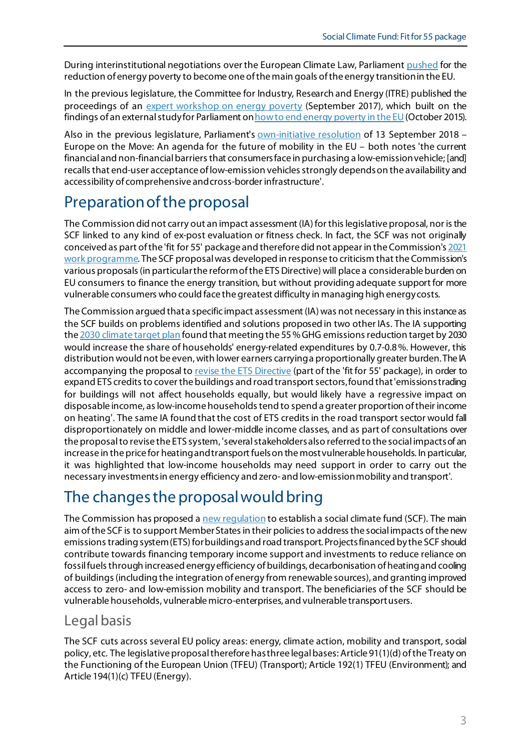During interinstitutional negotiations over the European Climate Law, Parliamen[t pushed](https://www.europarl.europa.eu/doceo/document/TA-9-2020-0253_EN.html) for the reduction of energy poverty to become one of the main goals of the energy transition in the EU.

In the previous legislature, the Committee for Industry, Research and Energy (ITRE) published the proceedings of an [expert workshop on energy poverty](https://www.europarl.europa.eu/RegData/etudes/STUD/2017/607350/IPOL_STU(2017)607350_EN.pdf) (September 2017), which built on the findings of an external study for Parliament o[n how to end energy poverty in the EU](https://www.europarl.europa.eu/RegData/etudes/STUD/2015/563472/IPOL_STU(2015)563472_EN.pdf) (October 2015).

Also in the previous legislature, Parliament's **own-initiative resolution** of 13 September 2018 -Europe on the Move: An agenda for the future of mobility in the EU – both notes 'the current financial and non-financial barriers that consumers face in purchasing a low-emission vehicle; [and] recalls that end-user acceptance of low-emission vehicles strongly depends on the availability and accessibility of comprehensive and cross-border infrastructure'.

# Preparation of the proposal

The Commission did not carry out an impact assessment (IA) for this legislative proposal, nor is the SCF linked to any kind of ex-post evaluation or fitness check. In fact, the SCF was not originally conceived as part of the 'fit for 55' package and therefore did not appear in the Commission'[s 2021](https://eur-lex.europa.eu/resource.html?uri=cellar%3A91ce5c0f-12b6-11eb-9a54-01aa75ed71a1.0001.02/DOC_2&format=PDF)  [work programme.](https://eur-lex.europa.eu/resource.html?uri=cellar%3A91ce5c0f-12b6-11eb-9a54-01aa75ed71a1.0001.02/DOC_2&format=PDF) The SCF proposalwas developed in response to criticism that the Commission's various proposals (in particular the reform of the ETS Directive) will place a considerable burden on EU consumers to finance the energy transition, but without providing adequate support for more vulnerable consumers who could face the greatest difficulty in managing high energy costs.

The Commission argued that a specific impact assessment (IA) was not necessary in this instance as the SCF builds on problems identified and solutions proposed in two other IAs. The IA supporting th[e 2030 climate target plan](https://ec.europa.eu/clima/policies/eu-climate-action/2030_ctp_en) found that meeting the 55 % GHG emissions reduction target by 2030 would increase the share of households' energy-related expenditures by 0.7-0.8%. However, this distribution would not be even, with lower earners carrying a proportionally greater burden.The IA accompanying the proposal t[o revise the ETS Directive](https://ec.europa.eu/info/sites/default/files/revision-eu-ets_with-annex_en_0.pdf) (part of the 'fit for 55' package), in order to expand ETS credits to cover the buildings and road transport sectors, found that 'emissions trading for buildings will not affect households equally, but would likely have a regressive impact on disposable income, as low-income households tend to spend a greater proportion of their income on heating'. The same IA found that the cost of ETS credits in the road transport sector would fall disproportionately on middle and lower-middle income classes, and as part of consultations over the proposal to revise the ETS system, 'several stakeholders also referred to the social impacts of an increase in the price for heating and transport fuels on the most vulnerable households. In particular, it was highlighted that low-income households may need support in order to carry out the necessary investments in energy efficiency and zero- and low-emission mobility and transport'.

# The changes the proposal would bring

The Commission has proposed a new requlation to establish a social climate fund (SCF). The main aim of the SCF is to support Member States in their policies to address the social impacts ofthe new emissions trading system (ETS) for buildings and road transport. Projects financed by the SCF should contribute towards financing temporary income support and investments to reduce reliance on fossil fuels through increased energy efficiency of buildings, decarbonisation of heating and cooling of buildings (including the integration of energy from renewable sources), and granting improved access to zero- and low-emission mobility and transport. The beneficiaries of the SCF should be vulnerable households, vulnerable micro-enterprises, and vulnerable transport users.

### Legal basis

The SCF cuts across several EU policy areas: energy, climate action, mobility and transport, social policy, etc. The legislative proposal therefore has three legal bases: Article 91(1)(d) of the Treaty on the Functioning of the European Union (TFEU) (Transport); Article 192(1) TFEU (Environment); and Article 194(1)(c) TFEU (Energy).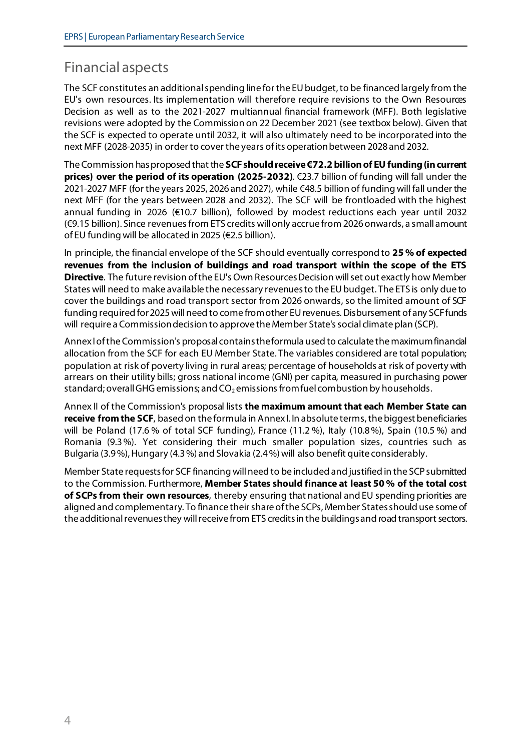## Financial aspects

The SCF constitutes an additional spending line for the EU budget, to be financed largely from the EU's own resources. Its implementation will therefore require revisions to the Own Resources Decision as well as to the 2021-2027 multiannual financial framework (MFF). Both legislative revisions were adopted by the Commission on 22 December 2021 (see textbox below). Given that the SCF is expected to operate until 2032, it will also ultimately need to be incorporated into the next MFF (2028-2035) in order to cover the years of its operation between 2028 and 2032.

The Commission hasproposed that the **SCF should receive €72.2 billion of EU funding (in current prices) over the period of its operation (2025-2032)**. €23.7 billion of funding will fall under the 2021-2027 MFF (for the years 2025, 2026 and 2027), while €48.5 billion of funding will fall under the next MFF (for the years between 2028 and 2032). The SCF will be frontloaded with the highest annual funding in 2026 (€10.7 billion), followed by modest reductions each year until 2032 (€9.15 billion). Since revenues from ETS credits will only accrue from 2026 onwards, a small amount of EU funding will be allocated in 2025 (€2.5 billion).

In principle, the financial envelope of the SCF should eventually correspond to **25 % of expected revenues from the inclusion of buildings and road transport within the scope of the ETS Directive**. The future revision ofthe EU's Own Resources Decision will set out exactly how Member States will need to make available the necessary revenues to the EU budget. The ETS is only due to cover the buildings and road transport sector from 2026 onwards, so the limited amount of SCF funding required for 2025 will need to come from other EU revenues. Disbursement of any SCFfunds will require a Commission decision to approve the Member State's social climate plan (SCP).

Annex I of the Commission's proposal contains the formula used to calculate the maximum financial allocation from the SCF for each EU Member State. The variables considered are total population; population at risk of poverty living in rural areas; percentage of households at risk of poverty with arrears on their utility bills; gross national income (GNI) per capita, measured in purchasing power standard; overall GHG emissions; and  $CO<sub>2</sub>$  emissions from fuel combustion by households.

Annex II of the Commission's proposal lists **the maximum amount that each Member State can receive from the SCF**, based on the formula in Annex I. In absolute terms, the biggest beneficiaries will be Poland (17.6 % of total SCF funding), France (11.2 %), Italy (10.8%), Spain (10.5 %) and Romania (9.3%). Yet considering their much smaller population sizes, countries such as Bulgaria (3.9%), Hungary (4.3%) and Slovakia (2.4%) will also benefit quite considerably.

Member State requests for SCF financing will need to be included and justified in the SCPsubmitted to the Commission. Furthermore, **Member States should finance at least 50 % of the total cost of SCPs from their own resources**, thereby ensuring that national and EU spending priorities are aligned and complementary. To finance their share of the SCPs, Member States should use some of the additional revenues they will receive from ETS credits in the buildings and road transport sectors.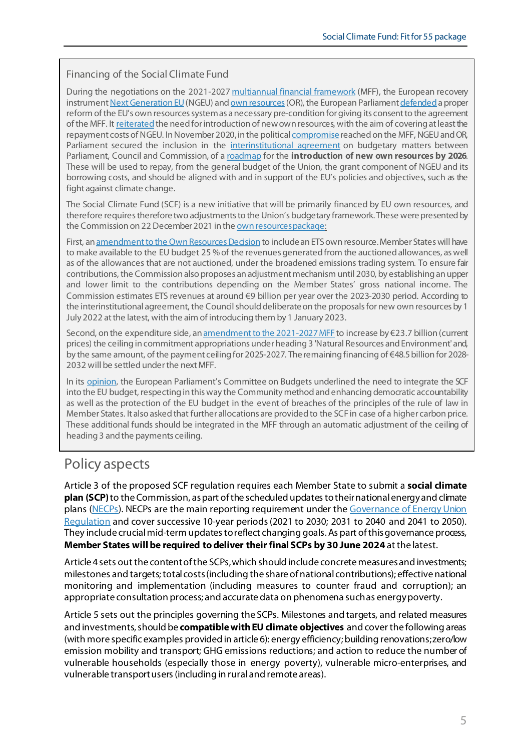#### Financing of the Social Climate Fund

During the negotiations on the 2021-202[7 multiannual financial framework](https://eur-lex.europa.eu/legal-content/EN/TXT/?uri=uriserv%3AOJ.LI.2020.433.01.0011.01.ENG) (MFF), the European recovery instrumen[t Next Generation EU](https://www.europarl.europa.eu/thinktank/en/document/EPRS_BRI(2020)652000) (NGEU) an[d own resources](https://eur-lex.europa.eu/legal-content/EN/TXT/?uri=CELEX%3A32020D2053) (OR), the European Parliame[nt defended](https://www.europarl.europa.eu/doceo/document/TA-8-2018-0449_EN.html?redirect) a proper reform of the EU's own resources system as a necessary pre-condition for giving its consent to the agreement of the MFF. I[t reiterated](https://www.europarl.europa.eu/doceo/document/TA-9-2020-0206_EN.html) the need for introduction of new own resources, with the aim of covering at least the repayment costs of NGEU. In November 2020, in the politic[al compromise](https://www.europarl.europa.eu/news/en/press-room/20201106IPR91014/compromise-on-long-term-eu-budget-ep-obtains-EU16-billion-more-for-key-programmes)reached on the MFF, NGEU and OR, Parliament secured the inclusion in the [interinstitutional agreement](https://eur-lex.europa.eu/legal-content/EN/TXT/PDF/?uri=CELEX:32020Q1222(01)&from=EN) on budgetary matters between Parliament, Council and Commission, of [a roadmap](https://www.europarl.europa.eu/EPRS/graphs/2021-EU-Own-Resources_EN.pdf) for the **introduction of new own resources by 2026**. These will be used to repay, from the general budget of the Union, the grant component of NGEU and its borrowing costs, and should be aligned with and in support of the EU's policies and objectives, such as the fight against climate change.

The Social Climate Fund (SCF) is a new initiative that will be primarily financed by EU own resources, and therefore requires therefore two adjustments to the Union's budgetary framework. These were presented by the Commission on 22 December 2021 in th[e own resources package](https://ec.europa.eu/info/publications/own-resources-legal-texts_en):

First, a[n amendment to the OwnResources Decision](https://eur-lex.europa.eu/legal-content/EN/TXT/?uri=CELEX:52021PC0570)to include an ETSown resource. Member States will have to make available to the EU budget 25 % of the revenues generated from the auctioned allowances, as well as of the allowances that are not auctioned, under the broadened emissions trading system. To ensure fair contributions, the Commission also proposes an adjustment mechanism until 2030, by establishing an upper and lower limit to the contributions depending on the Member States' gross national income. The Commission estimates ETS revenues at around €9 billion per year over the 2023-2030 period. According to the interinstitutional agreement, the Council should deliberate on the proposals for new own resources by 1 July 2022 at the latest, with the aim of introducing them by 1 January 2023.

Second, on the expenditure side, a[n amendment to the 2021-2027 MFF](https://eur-lex.europa.eu/legal-content/EN/TXT/?uri=uriserv%3AOJ.LI.2020.433.01.0011.01.ENG) to increase by €23.7 billion (current prices) the ceiling in commitment appropriations under heading 3 'Natural Resources and Environment'and, by the same amount, of the payment ceiling for 2025-2027. The remaining financing of €48.5 billion for 2028- 2032 will be settled under the next MFF.

In its [opinion,](https://www.europarl.europa.eu/doceo/document/A-9-2022-0157_EN.html#title3) the European Parliament's Committee on Budgets underlined the need to integrate the SCF into the EU budget, respecting in this way the Community method and enhancing democratic accountability as well as the protection of the EU budget in the event of breaches of the principles of the rule of law in Member States. It also asked that further allocations are provided to the SCF in case of a higher carbon price. These additional funds should be integrated in the MFF through an automatic adjustment of the ceiling of heading 3 and the payments ceiling.

## Policy aspects

Article 3 of the proposed SCF regulation requires each Member State to submit a **social climate plan (SCP)** to the Commission, as part of the scheduled updates to their national energy and climate plans [\(NECPs\)](https://energy.ec.europa.eu/topics/energy-strategy/national-energy-and-climate-plans-necps_en). NECPs are the main reporting requirement under th[e Governance of Energy Union](https://eur-lex.europa.eu/legal-content/EN/TXT/?uri=uriserv%3AOJ.L_.2018.328.01.0001.01.ENG)  [Regulation](https://eur-lex.europa.eu/legal-content/EN/TXT/?uri=uriserv%3AOJ.L_.2018.328.01.0001.01.ENG) and cover successive 10-year periods (2021 to 2030; 2031 to 2040 and 2041 to 2050). They include crucial mid-term updates to reflect changing goals. As part of this governance process, **Member States will be required to deliver their final SCPs by 30 June 2024** at the latest.

Article 4 sets out the content of the SCPs, which should include concrete measures and investments; milestones and targets; total costs (including the share of national contributions); effective national monitoring and implementation (including measures to counter fraud and corruption); an appropriate consultation process; and accurate data on phenomena such as energy poverty.

Article 5 sets out the principles governing the SCPs. Milestones and targets, and related measures and investments, should be **compatible with EU climate objectives** and cover the following areas (with more specific examples provided in article 6): energy efficiency; building renovations; zero/low emission mobility and transport; GHG emissions reductions; and action to reduce the number of vulnerable households (especially those in energy poverty), vulnerable micro-enterprises, and vulnerable transport users (including in rural and remote areas).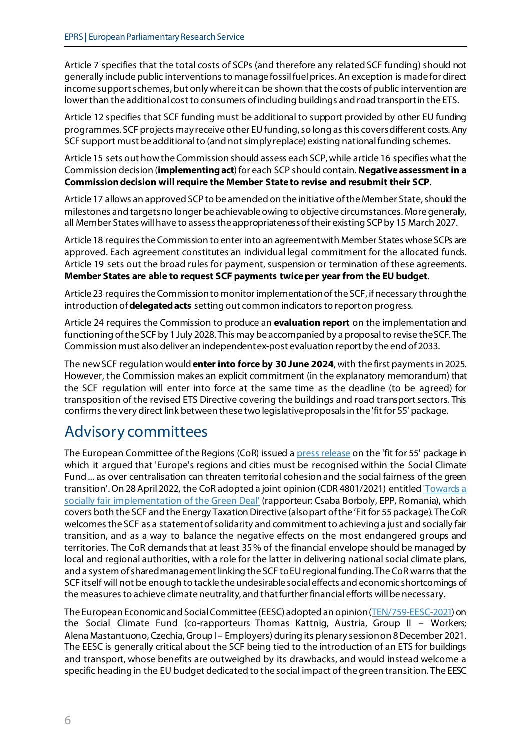Article 7 specifies that the total costs of SCPs (and therefore any related SCF funding) should not generally include public interventions to manage fossil fuel prices. An exception is made for direct income support schemes, but only where it can be shown that the costs of public intervention are lower than the additional cost to consumers of including buildings and road transport in the ETS.

Article 12 specifies that SCF funding must be additional to support provided by other EU funding programmes. SCF projects mayreceive other EU funding, so long as this coversdifferent costs. Any SCF support must be additional to (and not simply replace) existing national funding schemes.

Article 15 sets out how the Commission should assess each SCP, while article 16 specifies what the Commission decision (**implementing act**)for each SCP should contain. **Negative assessment in a Commission decision will require the Member State to revise and resubmit their SCP**.

Article 17 allows an approved SCP to be amended on the initiative of the Member State, should the milestones and targets no longer be achievable owing to objective circumstances. More generally, all Member States will have to assess the appropriateness of their existing SCP by 15 March 2027.

Article 18 requires the Commission to enter into an agreement with Member States whose SCPs are approved. Each agreement constitutes an individual legal commitment for the allocated funds. Article 19 sets out the broad rules for payment, suspension or termination of these agreements. **Member States are able to request SCF payments twice per year from the EU budget**.

Article 23 requires the Commission to monitor implementationof the SCF, if necessary through the introduction of **delegated acts** setting out common indicators to report on progress.

Article 24 requires the Commission to produce an **evaluation report** on the implementation and functioning of the SCF by 1 July 2028. This may be accompanied by a proposal to revise the SCF. The Commission must also deliver an independent ex-post evaluation report by the end of 2033.

The new SCF regulation would **enter into force by 30 June 2024**, with the first paymentsin 2025. However, the Commission makes an explicit commitment (in the explanatory memorandum) that the SCF regulation will enter into force at the same time as the deadline (to be agreed) for transposition of the revised ETS Directive covering the buildings and road transport sectors. This confirms the very direct link between these two legislative proposals in the 'fit for 55' package.

## Advisory committees

The European Committee of the Regions (CoR) issued [a press release](https://cor.europa.eu/en/news/Pages/FIT-FOR-55-PACKAGE.aspx) on the 'fit for 55' package in which it argued that 'Europe's regions and cities must be recognised within the Social Climate Fund ... as over centralisation can threaten territorial cohesion and the social fairness of the green transition'. On 28 April 2022, the CoR adopted a joint opinion (CDR 4801/2021) entitled Towards a [socially fair implementation of the Green Deal'](https://cor.europa.eu/en/our-work/Pages/OpinionTimeline.aspx?opId=CDR-4801-2021) (rapporteur: Csaba Borboly, EPP, Romania), which covers both the SCF and the Energy Taxation Directive (also part of the 'Fit for 55 package). The CoR welcomes the SCF as a statement of solidarity and commitment to achieving a just and socially fair transition, and as a way to balance the negative effects on the most endangered groups and territories. The CoR demands that at least 35% of the financial envelope should be managed by local and regional authorities, with a role for the latter in delivering national social climate plans, and a system of shared management linking the SCF to EU regional funding. The CoR warns that the SCF itself will not be enough to tackle the undesirable social effects and economic shortcomings of the measures to achieve climate neutrality, and that further financial efforts will be necessary.

The European Economic and Social Committee (EESC) adopted an opinion [\(TEN/759-EESC-2021\)](https://www.eesc.europa.eu/en/our-work/opinions-information-reports/opinions/social-climate-fund) on the Social Climate Fund (co-rapporteurs Thomas Kattnig, Austria, Group II – Workers; Alena Mastantuono, Czechia, Group I – Employers) during its plenary session on 8 December 2021. The EESC is generally critical about the SCF being tied to the introduction of an ETS for buildings and transport, whose benefits are outweighed by its drawbacks, and would instead welcome a specific heading in the EU budget dedicated to the social impact of the green transition. The EESC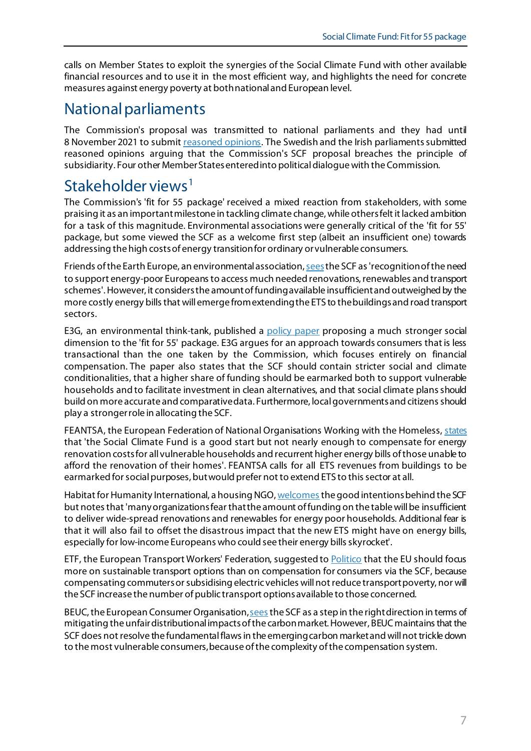calls on Member States to exploit the synergies of the Social Climate Fund with other available financial resources and to use it in the most efficient way, and highlights the need for concrete measures against energy poverty at both national and European level.

## National parliaments

The Commission's proposal was transmitted to national parliaments and they had until 8 November 2021 to submi[t reasoned opinions](https://ipexl.europarl.europa.eu/IPEXL-WEB/document/COM-2021-568). The Swedish and the Irish parliaments submitted reasoned opinions arguing that the Commission's SCF proposal breaches the principle of subsidiarity. Four other Member Statesentered into political dialogue with the Commission.

## Stakeholder views<sup>[1](#page-8-0)</sup>

The Commission's 'fit for 55 package' received a mixed reaction from stakeholders, with some praising it as an important milestone in tackling climate change, while others felt it lacked ambition for a task of this magnitude. Environmental associations were generally critical of the 'fit for 55' package, but some viewed the SCF as a welcome first step (albeit an insufficient one) towards addressing the high costs of energy transition for ordinary or vulnerable consumers.

Friends of the Earth Europe, an environmental association, sees the SCF as 'recognition of the need to support energy-poor Europeans to access much needed renovations, renewables and transport schemes'. However, it considers the amount of funding available insufficient and outweighed by the more costly energy bills that will emerge from extending the ETS to the buildings and road transport sectors.

E3G, an environmental think-tank, published a [policy paper](https://9tj4025ol53byww26jdkao0x-wpengine.netdna-ssl.com/wp-content/uploads/E3G-Briefing-A-social-Fit-for-55-package.pdf) proposing a much stronger social dimension to the 'fit for 55' package. E3G argues for an approach towards consumers that is less transactional than the one taken by the Commission, which focuses entirely on financial compensation. The paper also states that the SCF should contain stricter social and climate conditionalities, that a higher share of funding should be earmarked both to support vulnerable households and to facilitate investment in clean alternatives, and that social climate plans should build on more accurate and comparative data. Furthermore, local governments and citizens should play a stronger role in allocating the SCF.

FEANTSA, the European Federation of National Organisations Working with the Homeless, [states](https://www.feantsa.org/en/press-release/2021/07/16/fit-for-55-package-a-unique-opportunity-to-achieve-climate-goals-while-tackling-energy-poverty-and-unfit-housing) that 'the Social Climate Fund is a good start but not nearly enough to compensate for energy renovation costs for all vulnerable households and recurrent higher energy bills of those unable to afford the renovation of their homes'. FEANTSA calls for all ETS revenues from buildings to be earmarked for social purposes, butwould prefer not to extend ETS to this sector at all.

Habitat for Humanity International, a housing NGO[, welcomes](https://www.enpor.eu/fit-for-55-and-energy-poverty-will-emmission-trading-make-it-worse/) the good intentions behind the SCF but notes that 'many organizations fear thatthe amount of funding on the table will be insufficient to deliver wide-spread renovations and renewables for energy poor households. Additional fear is that it will also fail to offset the disastrous impact that the new ETS might have on energy bills, especially for low-income Europeans who could see their energy bills skyrocket'.

ETF, the European Transport Workers' Federation, suggested to **Politico** that the EU should focus more on sustainable transport options than on compensation for consumers via the SCF, because compensating commuters or subsidising electric vehicles will not reduce transport poverty, nor will the SCF increase the number of public transport options available to those concerned.

BEUC, the European Consumer Organisatio[n, sees](https://www.beuc.eu/publications/eu-climate-proposals-promise-consumers-fossil-fuel-free-healthy-and-affordable-future/html) the SCF as a step in the right direction in terms of mitigating the unfair distributional impacts of the carbon market. However, BEUCmaintains that the SCF does not resolve the fundamental flaws in the emerging carbon marketand will not trickle down to the most vulnerable consumers, because of the complexity of the compensation system.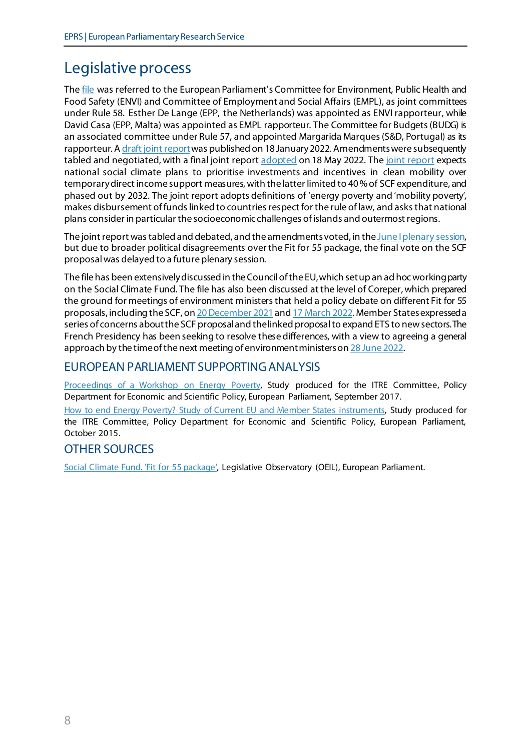# Legislative process

The [file](https://oeil.secure.europarl.europa.eu/oeil/popups/ficheprocedure.do?reference=2021/0206(COD)&l=en) was referred to the European Parliament's Committee for Environment, Public Health and Food Safety (ENVI) and Committee of Employment and Social Affairs (EMPL), as joint committees under Rule 58. Esther De Lange (EPP, the Netherlands) was appointed as ENVI rapporteur, while David Casa (EPP, Malta) was appointed as EMPL rapporteur. The Committee for Budgets (BUDG) is an associated committee under Rule 57, and appointed Margarida Marques (S&D, Portugal) as its rapporteur. [A draft joint report](https://www.europarl.europa.eu/meetdocs/2014_2019/plmrep/COMMITTEES/CJ39/PR/2022/05-18/1248326EN.pdf) was published on 18 January 2022. Amendments were subsequently tabled and negotiated, with a final joint repor[t adopted](https://www.europarl.europa.eu/news/en/press-room/20220516IPR29635/social-climate-fund-to-help-those-most-affected-by-energy-and-mobility-poverty) on 18 May 2022. Th[e joint report](https://www.europarl.europa.eu/doceo/document/A-9-2022-0157_EN.html) expects national social climate plans to prioritise investments and incentives in clean mobility over temporary direct income support measures, with the latter limited to 40% of SCF expenditure, and phased out by 2032. The joint report adopts definitions of 'energy poverty and 'mobility poverty', makes disbursement of funds linked to countries respect for the rule of law, and asksthat national plans consider in particular the socioeconomic challenges of islands and outermost regions.

The joint report was tabled and debated, and the amendments voted, in th[e June I plenary session,](https://www.europarl.europa.eu/thinktank/en/document/EPRS_ATA(2022)729460) but due to broader political disagreements over the Fit for 55 package, the final vote on the SCF proposal was delayed to a future plenary session.

The file has been extensively discussed in the Council of the EU, which set up an ad hoc working party on the Social Climate Fund. The file has also been discussed at the level of Coreper, which prepared the ground for meetings of environment ministers that held a policy debate on different Fit for 55 proposals, including the SCF, o[n 20 December 2021](https://data.consilium.europa.eu/doc/document/ST-14585-2021-INIT/en/pdf) an[d 17 March 2022.](https://data.consilium.europa.eu/doc/document/ST-6668-2022-REV-2/en/pdf) Member States expressed a series of concerns aboutthe SCF proposal and the linked proposal to expand ETS to new sectors. The French Presidency has been seeking to resolve these differences, with a view to agreeing a general approach by the time of the next meeting of environment ministers o[n 28 June](https://www.consilium.europa.eu/en/meetings/env/2022/06/28/) 2022.

#### EUROPEAN PARLIAMENT SUPPORTING ANALYSIS

[Proceedings of a Workshop on Energy Poverty,](https://www.europarl.europa.eu/RegData/etudes/STUD/2017/607350/IPOL_STU(2017)607350_EN.pdf) Study produced for the ITRE Committee, Policy Department for Economic and Scientific Policy, European Parliament, September 2017.

[How to end Energy Poverty? Study of Current EU and Member States instruments,](https://www.europarl.europa.eu/RegData/etudes/STUD/2015/563472/IPOL_STU(2015)563472_EN.pdf) Study produced for the ITRE Committee, Policy Department for Economic and Scientific Policy, European Parliament, October 2015.

#### OTHER SOURCES

[Social Climate Fund. 'Fit for 55 package',](https://oeil.secure.europarl.europa.eu/oeil/popups/ficheprocedure.do?reference=2021/0206(COD)&l=en) Legislative Observatory (OEIL), European Parliament.